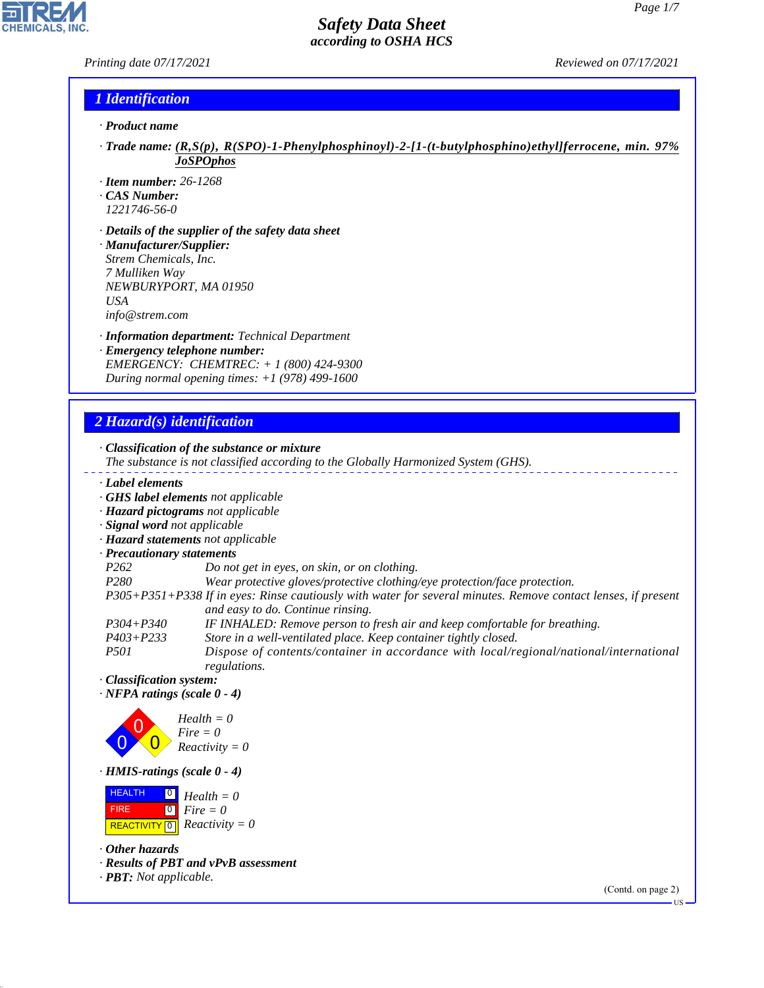### *Printing date 07/17/2021 Reviewed on 07/17/2021*

**CHEMICALS, INC.** 

### *1 Identification*

- *· Product name*
- *· Trade name: (R,S(p), R(SPO)-1-Phenylphosphinoyl)-2-[1-(t-butylphosphino)ethyl]ferrocene, min. 97% JoSPOphos*
- *· Item number: 26-1268*
- *· CAS Number:*
- *1221746-56-0*
- *· Details of the supplier of the safety data sheet · Manufacturer/Supplier: Strem Chemicals, Inc. 7 Mulliken Way NEWBURYPORT, MA 01950 USA info@strem.com*
- *· Information department: Technical Department · Emergency telephone number: EMERGENCY: CHEMTREC: + 1 (800) 424-9300*

*During normal opening times: +1 (978) 499-1600*

*2 Hazard(s) identification*

Ξ,

| Label elements                                                 |                                                                                                                                                    |
|----------------------------------------------------------------|----------------------------------------------------------------------------------------------------------------------------------------------------|
|                                                                | <b>GHS label elements</b> not applicable                                                                                                           |
|                                                                | · Hazard pictograms not applicable                                                                                                                 |
| · Signal word not applicable                                   |                                                                                                                                                    |
|                                                                | · Hazard statements not applicable                                                                                                                 |
| · Precautionary statements                                     |                                                                                                                                                    |
| P <sub>262</sub>                                               | Do not get in eyes, on skin, or on clothing.                                                                                                       |
| P <sub>280</sub>                                               | Wear protective gloves/protective clothing/eye protection/face protection.                                                                         |
|                                                                | P305+P351+P338 If in eyes: Rinse cautiously with water for several minutes. Remove contact lenses, if present<br>and easy to do. Continue rinsing. |
| $P304 + P340$                                                  | IF INHALED: Remove person to fresh air and keep comfortable for breathing.                                                                         |
| $P403 + P233$                                                  | Store in a well-ventilated place. Keep container tightly closed.                                                                                   |
| <i>P501</i>                                                    | Dispose of contents/container in accordance with local/regional/national/international<br>regulations.                                             |
| · Classification system:<br>$\cdot$ NFPA ratings (scale 0 - 4) |                                                                                                                                                    |



*· HMIS-ratings (scale 0 - 4)*

| HEALTH  | $\Box$ Health = 0                                           |
|---------|-------------------------------------------------------------|
| ⊾FIRE ∶ | $\begin{bmatrix} \bullet \\ \bullet \end{bmatrix}$ Fire = 0 |
|         | <b>REACTIVITY</b> $\boxed{0}$ <i>Reactivity</i> = 0         |

*· Other hazards*

44.1.1

- *· Results of PBT and vPvB assessment*
- *· PBT: Not applicable.*

(Contd. on page 2)

US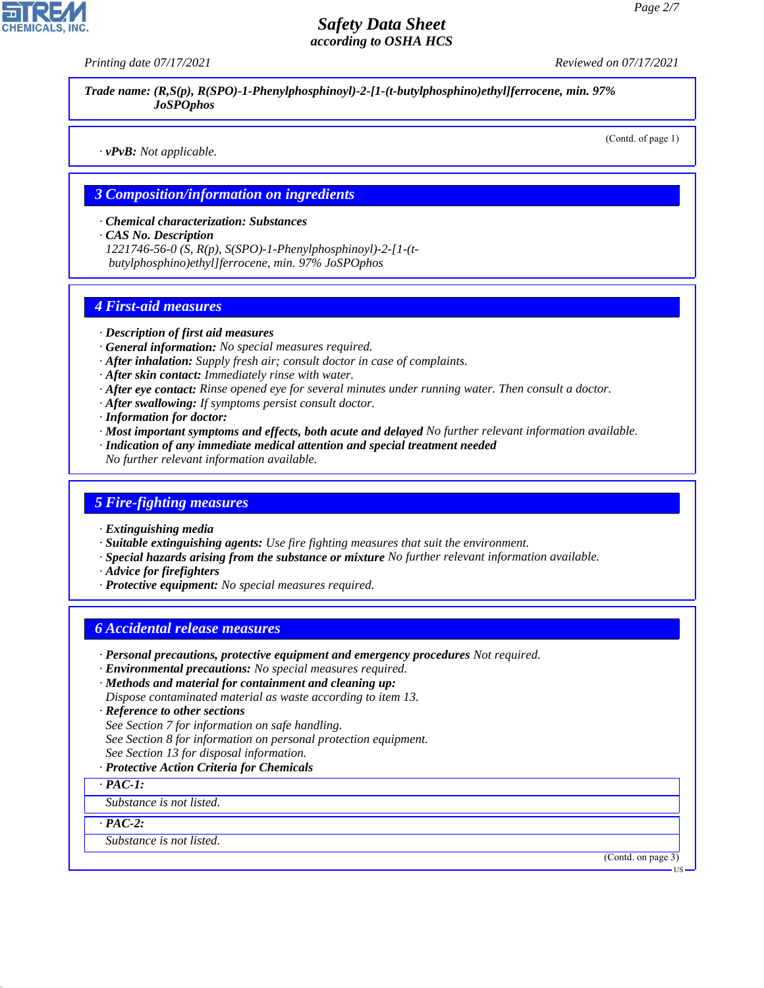*Printing date 07/17/2021 Reviewed on 07/17/2021*

*Trade name: (R,S(p), R(SPO)-1-Phenylphosphinoyl)-2-[1-(t-butylphosphino)ethyl]ferrocene, min. 97% JoSPOphos*

*· vPvB: Not applicable.*

(Contd. of page 1)

### *3 Composition/information on ingredients*

*· Chemical characterization: Substances*

*· CAS No. Description*

*1221746-56-0 (S, R(p), S(SPO)-1-Phenylphosphinoyl)-2-[1-(t butylphosphino)ethyl]ferrocene, min. 97% JoSPOphos*

### *4 First-aid measures*

- *· Description of first aid measures*
- *· General information: No special measures required.*
- *· After inhalation: Supply fresh air; consult doctor in case of complaints.*
- *· After skin contact: Immediately rinse with water.*
- *· After eye contact: Rinse opened eye for several minutes under running water. Then consult a doctor.*
- *· After swallowing: If symptoms persist consult doctor.*
- *· Information for doctor:*
- *· Most important symptoms and effects, both acute and delayed No further relevant information available.*
- *· Indication of any immediate medical attention and special treatment needed*
- *No further relevant information available.*

### *5 Fire-fighting measures*

- *· Extinguishing media*
- *· Suitable extinguishing agents: Use fire fighting measures that suit the environment.*
- *· Special hazards arising from the substance or mixture No further relevant information available.*
- *· Advice for firefighters*
- *· Protective equipment: No special measures required.*

### *6 Accidental release measures*

- *· Personal precautions, protective equipment and emergency procedures Not required.*
- *· Environmental precautions: No special measures required.*
- *· Methods and material for containment and cleaning up:*
- *Dispose contaminated material as waste according to item 13.*
- *· Reference to other sections*
- *See Section 7 for information on safe handling.*
- *See Section 8 for information on personal protection equipment.*
- *See Section 13 for disposal information.*
- *· Protective Action Criteria for Chemicals*
- *· PAC-1:*

*Substance is not listed.*

*· PAC-2:*

44.1.1

*Substance is not listed.*

(Contd. on page 3)

US

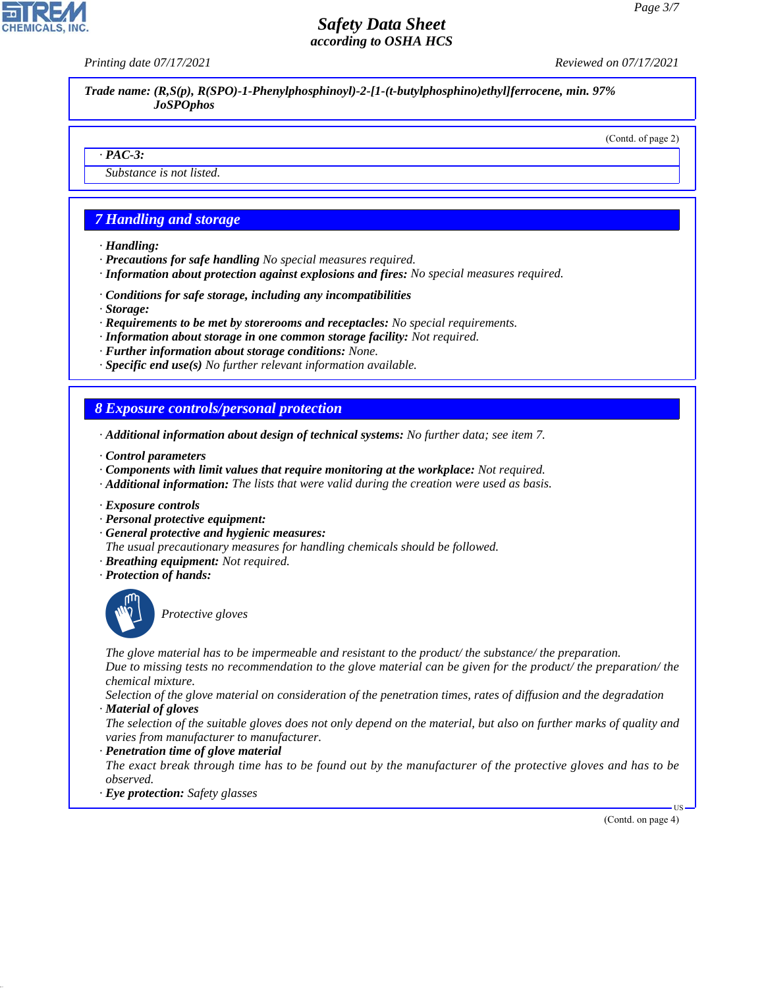*Printing date 07/17/2021 Reviewed on 07/17/2021*

*Trade name: (R,S(p), R(SPO)-1-Phenylphosphinoyl)-2-[1-(t-butylphosphino)ethyl]ferrocene, min. 97% JoSPOphos*

### (Contd. of page 2)

### *· PAC-3:*

*Substance is not listed.*

### *7 Handling and storage*

- *· Handling:*
- *· Precautions for safe handling No special measures required.*
- *· Information about protection against explosions and fires: No special measures required.*
- *· Conditions for safe storage, including any incompatibilities*
- *· Storage:*
- *· Requirements to be met by storerooms and receptacles: No special requirements.*
- *· Information about storage in one common storage facility: Not required.*
- *· Further information about storage conditions: None.*
- *· Specific end use(s) No further relevant information available.*

### *8 Exposure controls/personal protection*

- *· Additional information about design of technical systems: No further data; see item 7.*
- *· Control parameters*
- *· Components with limit values that require monitoring at the workplace: Not required.*
- *· Additional information: The lists that were valid during the creation were used as basis.*
- *· Exposure controls*
- *· Personal protective equipment:*
- *· General protective and hygienic measures:*
- *The usual precautionary measures for handling chemicals should be followed.*
- *· Breathing equipment: Not required.*
- *· Protection of hands:*



44.1.1

\_S*Protective gloves*

*The glove material has to be impermeable and resistant to the product/ the substance/ the preparation.*

*Due to missing tests no recommendation to the glove material can be given for the product/ the preparation/ the chemical mixture.*

*Selection of the glove material on consideration of the penetration times, rates of diffusion and the degradation · Material of gloves*

*The selection of the suitable gloves does not only depend on the material, but also on further marks of quality and varies from manufacturer to manufacturer.*

*· Penetration time of glove material*

*The exact break through time has to be found out by the manufacturer of the protective gloves and has to be observed.*

*· Eye protection: Safety glasses*

(Contd. on page 4)

US

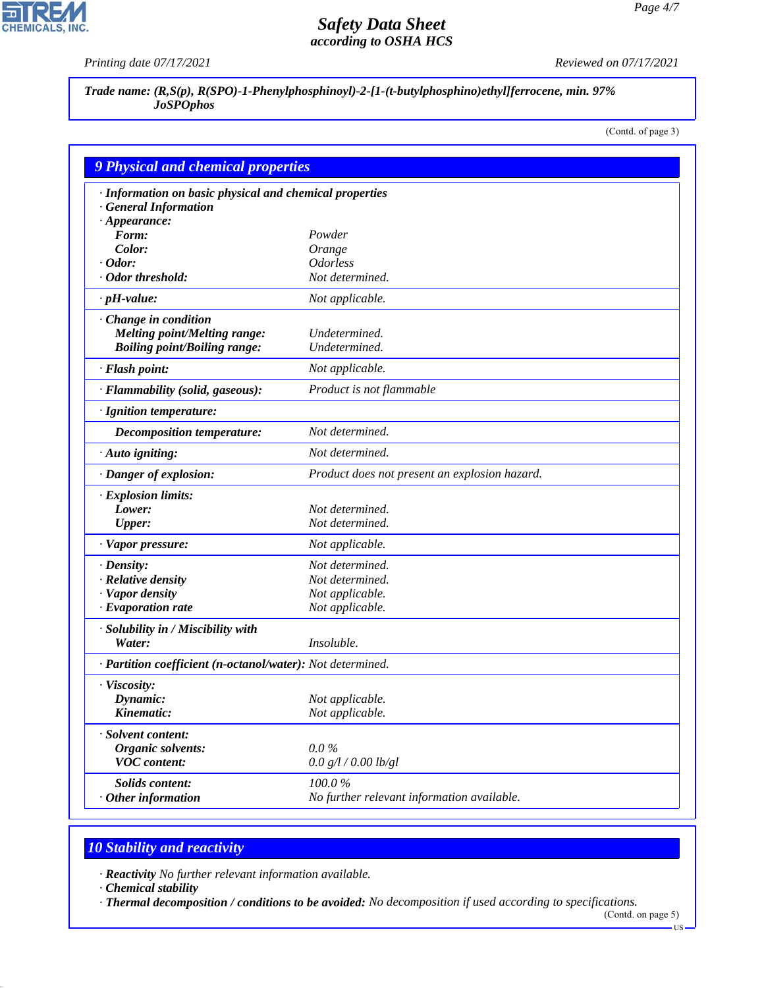피

CHEMICALS, INC.

*Printing date 07/17/2021 Reviewed on 07/17/2021*

*Trade name: (R,S(p), R(SPO)-1-Phenylphosphinoyl)-2-[1-(t-butylphosphino)ethyl]ferrocene, min. 97% JoSPOphos*

(Contd. of page 3)

| <b>9 Physical and chemical properties</b>                  |                                               |  |  |  |
|------------------------------------------------------------|-----------------------------------------------|--|--|--|
| · Information on basic physical and chemical properties    |                                               |  |  |  |
| · General Information                                      |                                               |  |  |  |
| $\cdot$ Appearance:                                        |                                               |  |  |  |
| Form:                                                      | Powder                                        |  |  |  |
| Color:                                                     | Orange                                        |  |  |  |
| $\cdot$ Odor:<br>· Odor threshold:                         | <b>Odorless</b><br>Not determined.            |  |  |  |
|                                                            |                                               |  |  |  |
| $\cdot$ pH-value:                                          | Not applicable.                               |  |  |  |
| Change in condition                                        |                                               |  |  |  |
| Melting point/Melting range:                               | Undetermined.                                 |  |  |  |
| <b>Boiling point/Boiling range:</b>                        | Undetermined.                                 |  |  |  |
| · Flash point:                                             | Not applicable.                               |  |  |  |
| · Flammability (solid, gaseous):                           | Product is not flammable                      |  |  |  |
| · Ignition temperature:                                    |                                               |  |  |  |
| <b>Decomposition temperature:</b>                          | Not determined.                               |  |  |  |
| $\cdot$ Auto igniting:                                     | Not determined.                               |  |  |  |
| · Danger of explosion:                                     | Product does not present an explosion hazard. |  |  |  |
| $\cdot$ Explosion limits:                                  |                                               |  |  |  |
| Lower:                                                     | Not determined.                               |  |  |  |
| <b>Upper:</b>                                              | Not determined.                               |  |  |  |
| · Vapor pressure:                                          | Not applicable.                               |  |  |  |
| $\cdot$ Density:                                           | Not determined.                               |  |  |  |
| · Relative density                                         | Not determined.                               |  |  |  |
| · Vapor density                                            | Not applicable.                               |  |  |  |
| $\cdot$ Evaporation rate                                   | Not applicable.                               |  |  |  |
| · Solubility in / Miscibility with                         |                                               |  |  |  |
| Water:                                                     | Insoluble.                                    |  |  |  |
| · Partition coefficient (n-octanol/water): Not determined. |                                               |  |  |  |
| · Viscosity:                                               |                                               |  |  |  |
| Dynamic:                                                   | Not applicable.                               |  |  |  |
| Kinematic:                                                 | Not applicable.                               |  |  |  |
| · Solvent content:                                         |                                               |  |  |  |
| <b>Organic solvents:</b>                                   | $0.0\%$                                       |  |  |  |
| <b>VOC</b> content:                                        | 0.0 g/l / 0.00 lb/gl                          |  |  |  |
| Solids content:                                            | 100.0%                                        |  |  |  |
| $\cdot$ Other information                                  | No further relevant information available.    |  |  |  |

# *10 Stability and reactivity*

*· Reactivity No further relevant information available.*

*· Chemical stability*

44.1.1

*· Thermal decomposition / conditions to be avoided: No decomposition if used according to specifications.*

(Contd. on page 5)  $-US$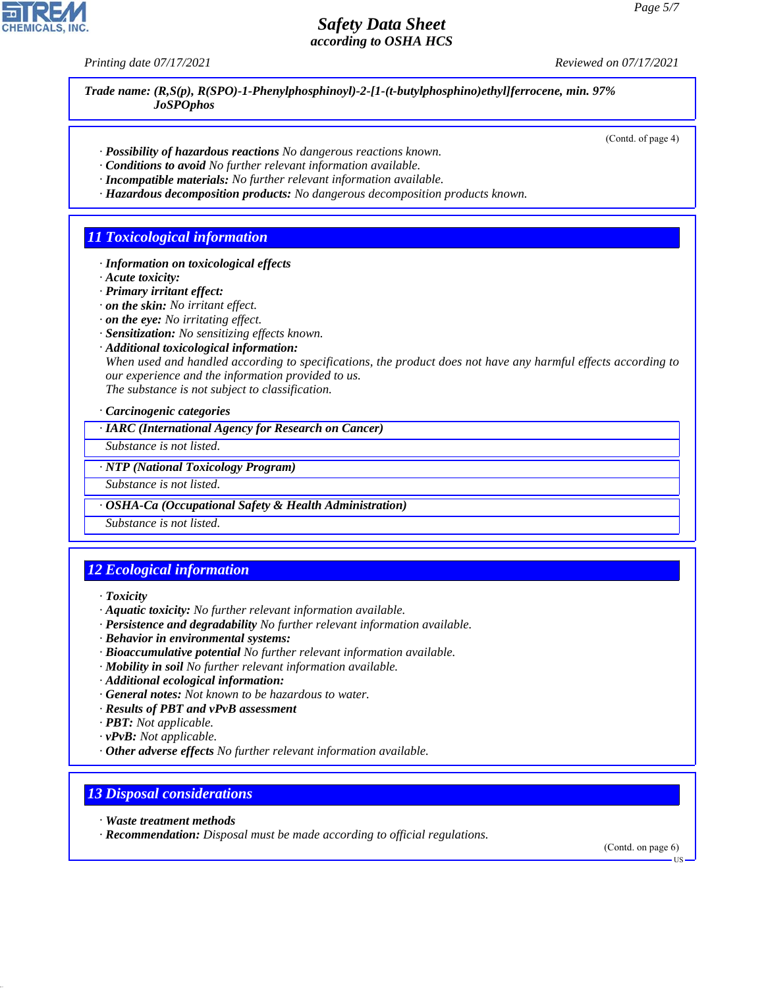*Printing date 07/17/2021 Reviewed on 07/17/2021*

*Trade name: (R,S(p), R(SPO)-1-Phenylphosphinoyl)-2-[1-(t-butylphosphino)ethyl]ferrocene, min. 97% JoSPOphos*

(Contd. of page 4)

- *· Possibility of hazardous reactions No dangerous reactions known.*
- *· Conditions to avoid No further relevant information available.*
- *· Incompatible materials: No further relevant information available.*
- *· Hazardous decomposition products: No dangerous decomposition products known.*

### *11 Toxicological information*

- *· Information on toxicological effects*
- *· Acute toxicity:*
- *· Primary irritant effect:*
- *· on the skin: No irritant effect.*
- *· on the eye: No irritating effect.*
- *· Sensitization: No sensitizing effects known.*
- *· Additional toxicological information:*

*When used and handled according to specifications, the product does not have any harmful effects according to our experience and the information provided to us. The substance is not subject to classification.*

*· Carcinogenic categories*

*· IARC (International Agency for Research on Cancer)*

*Substance is not listed.*

*· NTP (National Toxicology Program)*

*Substance is not listed.*

*· OSHA-Ca (Occupational Safety & Health Administration)*

*Substance is not listed.*

# *12 Ecological information*

*· Toxicity*

- *· Aquatic toxicity: No further relevant information available.*
- *· Persistence and degradability No further relevant information available.*
- *· Behavior in environmental systems:*
- *· Bioaccumulative potential No further relevant information available.*
- *· Mobility in soil No further relevant information available.*
- *· Additional ecological information:*
- *· General notes: Not known to be hazardous to water.*
- *· Results of PBT and vPvB assessment*
- *· PBT: Not applicable.*
- *· vPvB: Not applicable.*
- *· Other adverse effects No further relevant information available.*

## *13 Disposal considerations*

*· Waste treatment methods*

44.1.1

*· Recommendation: Disposal must be made according to official regulations.*

(Contd. on page 6)

US

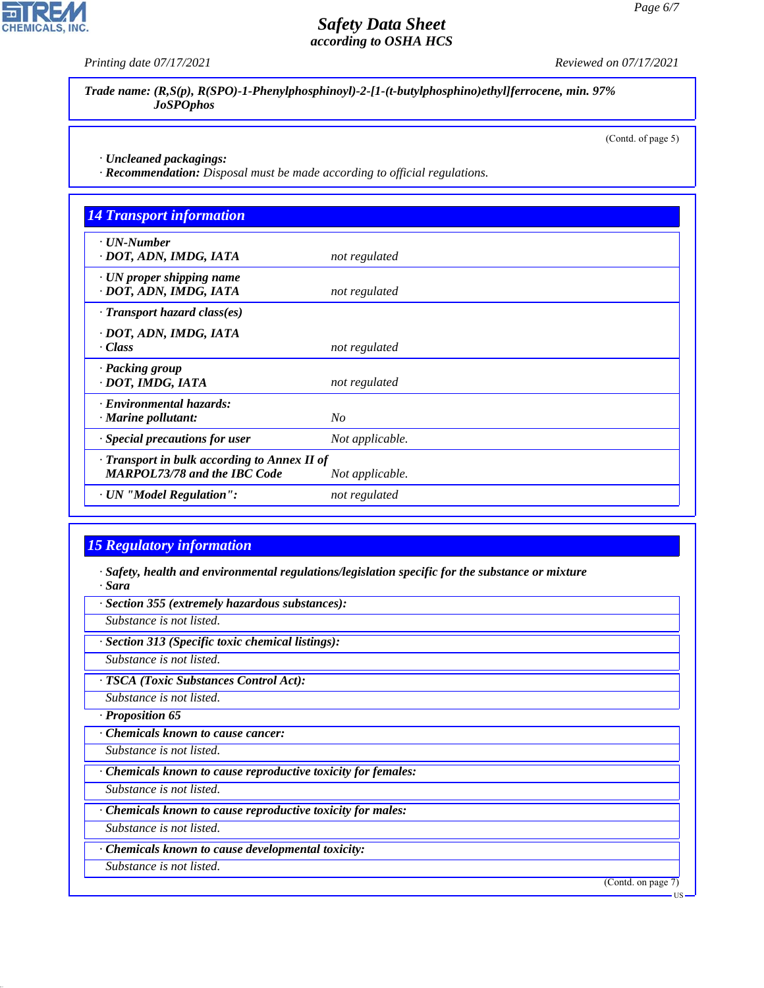*Printing date 07/17/2021 Reviewed on 07/17/2021*

*Trade name: (R,S(p), R(SPO)-1-Phenylphosphinoyl)-2-[1-(t-butylphosphino)ethyl]ferrocene, min. 97% JoSPOphos*

(Contd. of page 5)

*· Uncleaned packagings:*

*· Recommendation: Disposal must be made according to official regulations.*

| <b>14 Transport information</b>                                                     |                 |
|-------------------------------------------------------------------------------------|-----------------|
| $\cdot$ UN-Number<br>· DOT, ADN, IMDG, IATA                                         | not regulated   |
| $\cdot$ UN proper shipping name<br>· DOT, ADN, IMDG, IATA                           | not regulated   |
| $\cdot$ Transport hazard class(es)                                                  |                 |
| · DOT, ADN, IMDG, IATA<br>· Class                                                   | not regulated   |
| · Packing group<br>· DOT, IMDG, IATA                                                | not regulated   |
| · Environmental hazards:<br>$\cdot$ Marine pollutant:                               | No              |
| · Special precautions for user                                                      | Not applicable. |
| · Transport in bulk according to Annex II of<br><b>MARPOL73/78 and the IBC Code</b> | Not applicable. |
| · UN "Model Regulation":                                                            | not regulated   |

## *15 Regulatory information*

*· Safety, health and environmental regulations/legislation specific for the substance or mixture · Sara*

*· Section 355 (extremely hazardous substances):*

*Substance is not listed.*

*· Section 313 (Specific toxic chemical listings):*

*Substance is not listed.*

*· TSCA (Toxic Substances Control Act):*

*Substance is not listed.*

*· Proposition 65*

*· Chemicals known to cause cancer:*

*Substance is not listed.*

*· Chemicals known to cause reproductive toxicity for females:*

*Substance is not listed.*

*· Chemicals known to cause reproductive toxicity for males:*

*Substance is not listed.*

*· Chemicals known to cause developmental toxicity:*

*Substance is not listed.*

44.1.1

(Contd. on page 7)



US